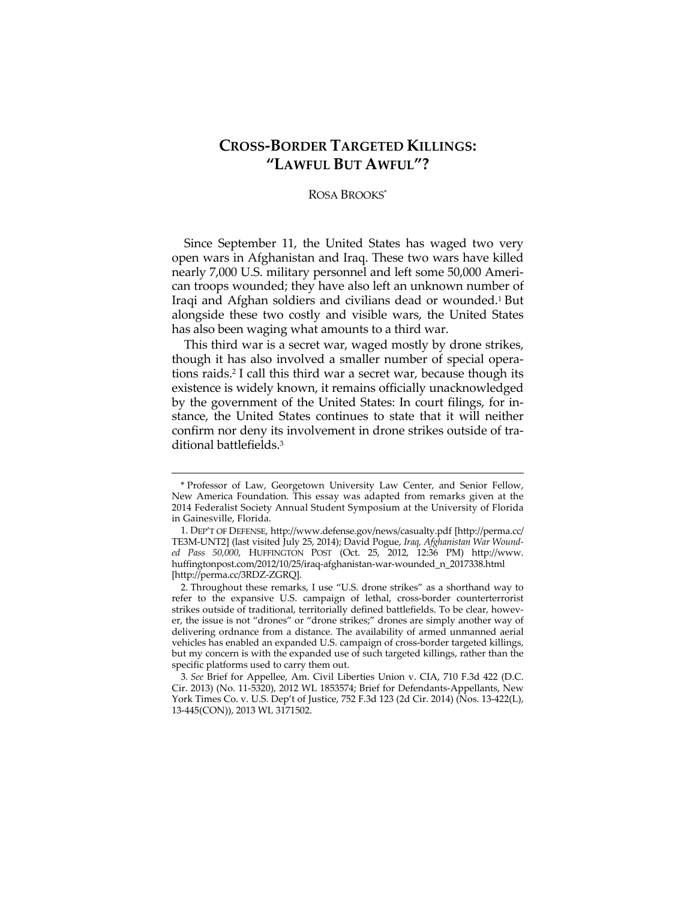# **CROSS-BORDER TARGETED KILLINGS: "LAWFUL BUT AWFUL"?**

## ROSA BROOKS\*

Since September 11, the United States has waged two very open wars in Afghanistan and Iraq. These two wars have killed nearly 7,000 U.S. military personnel and left some 50,000 American troops wounded; they have also left an unknown number of Iraqi and Afghan soldiers and civilians dead or wounded.1 But alongside these two costly and visible wars, the United States has also been waging what amounts to a third war.

This third war is a secret war, waged mostly by drone strikes, though it has also involved a smaller number of special operations raids.2 I call this third war a secret war, because though its existence is widely known, it remains officially unacknowledged by the government of the United States: In court filings, for instance, the United States continues to state that it will neither confirm nor deny its involvement in drone strikes outside of traditional battlefields.3

<sup>\*</sup> Professor of Law, Georgetown University Law Center, and Senior Fellow, New America Foundation. This essay was adapted from remarks given at the 2014 Federalist Society Annual Student Symposium at the University of Florida in Gainesville, Florida.

 <sup>1.</sup> DEP'T OF DEFENSE, http://www.defense.gov/news/casualty.pdf [http://perma.cc/ TE3M-UNT2] (last visited July 25, 2014); David Pogue, *Iraq, Afghanistan War Wounded Pass 50,000*, HUFFINGTON POST (Oct. 25, 2012, 12:36 PM) http://www. huffingtonpost.com/2012/10/25/iraq-afghanistan-war-wounded\_n\_2017338.html [http://perma.cc/3RDZ-ZGRQ].

 <sup>2.</sup> Throughout these remarks, I use "U.S. drone strikes" as a shorthand way to refer to the expansive U.S. campaign of lethal, cross-border counterterrorist strikes outside of traditional, territorially defined battlefields. To be clear, however, the issue is not "drones" or "drone strikes;" drones are simply another way of delivering ordnance from a distance. The availability of armed unmanned aerial vehicles has enabled an expanded U.S. campaign of cross-border targeted killings, but my concern is with the expanded use of such targeted killings, rather than the specific platforms used to carry them out.

<sup>3</sup>*. See* Brief for Appellee, Am. Civil Liberties Union v. CIA, 710 F.3d 422 (D.C. Cir. 2013) (No. 11-5320), 2012 WL 1853574; Brief for Defendants-Appellants, New York Times Co. v. U.S. Dep't of Justice, 752 F.3d 123 (2d Cir. 2014) (Nos. 13-422(L), 13-445(CON)), 2013 WL 3171502.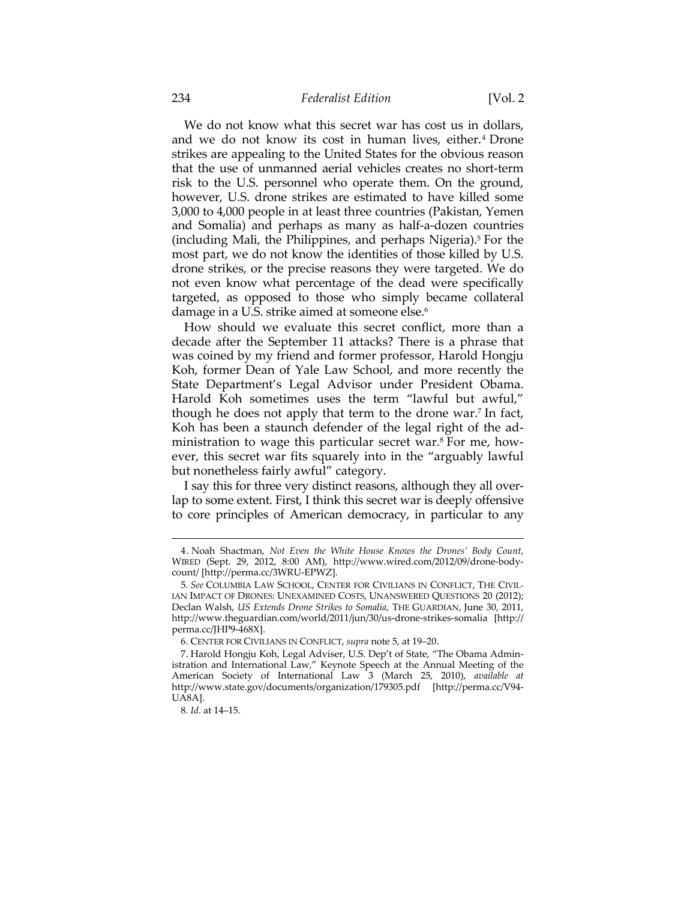#### 234 *Federalist Edition* [Vol. 2

We do not know what this secret war has cost us in dollars, and we do not know its cost in human lives, either.<sup>4</sup> Drone strikes are appealing to the United States for the obvious reason that the use of unmanned aerial vehicles creates no short-term risk to the U.S. personnel who operate them. On the ground, however, U.S. drone strikes are estimated to have killed some 3,000 to 4,000 people in at least three countries (Pakistan, Yemen and Somalia) and perhaps as many as half-a-dozen countries (including Mali, the Philippines, and perhaps Nigeria).5 For the most part, we do not know the identities of those killed by U.S. drone strikes, or the precise reasons they were targeted. We do not even know what percentage of the dead were specifically targeted, as opposed to those who simply became collateral damage in a U.S. strike aimed at someone else.<sup>6</sup>

How should we evaluate this secret conflict, more than a decade after the September 11 attacks? There is a phrase that was coined by my friend and former professor, Harold Hongju Koh, former Dean of Yale Law School, and more recently the State Department's Legal Advisor under President Obama. Harold Koh sometimes uses the term "lawful but awful," though he does not apply that term to the drone war.7 In fact, Koh has been a staunch defender of the legal right of the administration to wage this particular secret war.8 For me, however, this secret war fits squarely into in the "arguably lawful but nonetheless fairly awful" category.

I say this for three very distinct reasons, although they all overlap to some extent. First, I think this secret war is deeply offensive to core principles of American democracy, in particular to any

 <sup>4.</sup> Noah Shactman, *Not Even the White House Knows the Drones' Body Count*, WIRED (Sept. 29, 2012, 8:00 AM), http://www.wired.com/2012/09/drone-bodycount/ [http://perma.cc/3WRU-EPWZ].

<sup>5</sup>*. See* COLUMBIA LAW SCHOOL, CENTER FOR CIVILIANS IN CONFLICT, THE CIVIL-IAN IMPACT OF DRONES: UNEXAMINED COSTS, UNANSWERED QUESTIONS 20 (2012); Declan Walsh, *US Extends Drone Strikes to Somalia*, THE GUARDIAN, June 30, 2011, http://www.theguardian.com/world/2011/jun/30/us-drone-strikes-somalia [http:// perma.cc/JHP9-468X].

 <sup>6.</sup> CENTER FOR CIVILIANS IN CONFLICT, *supra* note 5, at 19–20.

 <sup>7.</sup> Harold Hongju Koh, Legal Adviser, U.S. Dep't of State, "The Obama Administration and International Law," Keynote Speech at the Annual Meeting of the American Society of International Law 3 (March 25, 2010), *available at* http://www.state.gov/documents/organization/179305.pdf [http://perma.cc/V94- UA8A].

<sup>8</sup>*. Id*. at 14–15.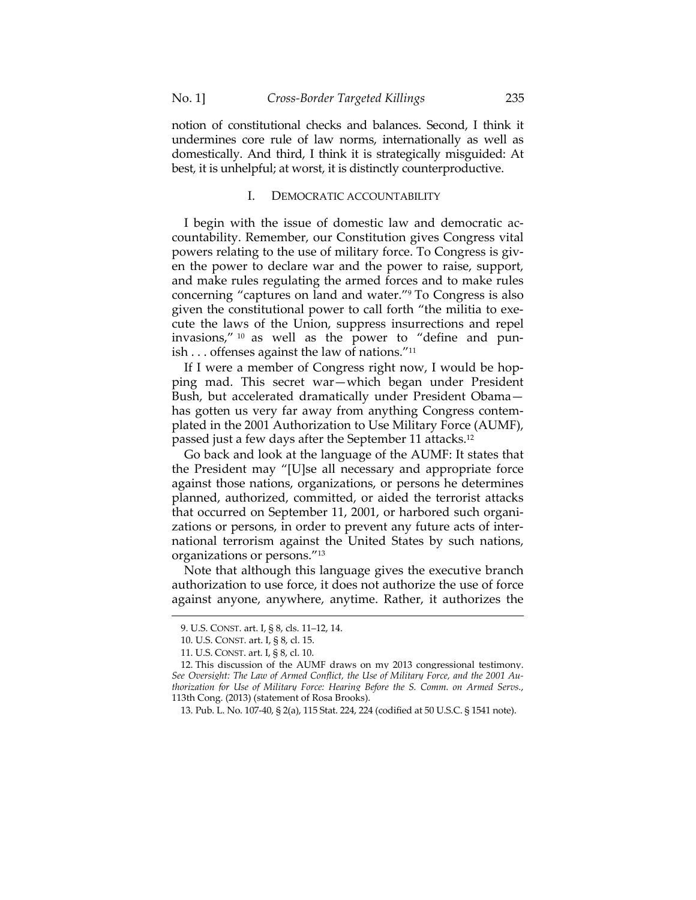notion of constitutional checks and balances. Second, I think it undermines core rule of law norms, internationally as well as domestically. And third, I think it is strategically misguided: At best, it is unhelpful; at worst, it is distinctly counterproductive.

### I. DEMOCRATIC ACCOUNTABILITY

I begin with the issue of domestic law and democratic accountability. Remember, our Constitution gives Congress vital powers relating to the use of military force. To Congress is given the power to declare war and the power to raise, support, and make rules regulating the armed forces and to make rules concerning "captures on land and water."9 To Congress is also given the constitutional power to call forth "the militia to execute the laws of the Union, suppress insurrections and repel invasions," 10 as well as the power to "define and punish . . . offenses against the law of nations."11

If I were a member of Congress right now, I would be hopping mad. This secret war—which began under President Bush, but accelerated dramatically under President Obama has gotten us very far away from anything Congress contemplated in the 2001 Authorization to Use Military Force (AUMF), passed just a few days after the September 11 attacks.12

Go back and look at the language of the AUMF: It states that the President may "[U]se all necessary and appropriate force against those nations, organizations, or persons he determines planned, authorized, committed, or aided the terrorist attacks that occurred on September 11, 2001, or harbored such organizations or persons, in order to prevent any future acts of international terrorism against the United States by such nations, organizations or persons."13

Note that although this language gives the executive branch authorization to use force, it does not authorize the use of force against anyone, anywhere, anytime. Rather, it authorizes the

 <sup>9.</sup> U.S. CONST. art. I, § 8, cls. 11–12, 14.

 <sup>10.</sup> U.S. CONST. art. I, § 8, cl. 15.

 <sup>11.</sup> U.S. CONST. art. I, § 8, cl. 10.

 <sup>12.</sup> This discussion of the AUMF draws on my 2013 congressional testimony. *See Oversight: The Law of Armed Conflict, the Use of Military Force, and the 2001 Authorization for Use of Military Force: Hearing Before the S. Comm. on Armed Servs.*, 113th Cong. (2013) (statement of Rosa Brooks).

 <sup>13.</sup> Pub. L. No. 107-40, § 2(a), 115 Stat. 224, 224 (codified at 50 U.S.C. § 1541 note).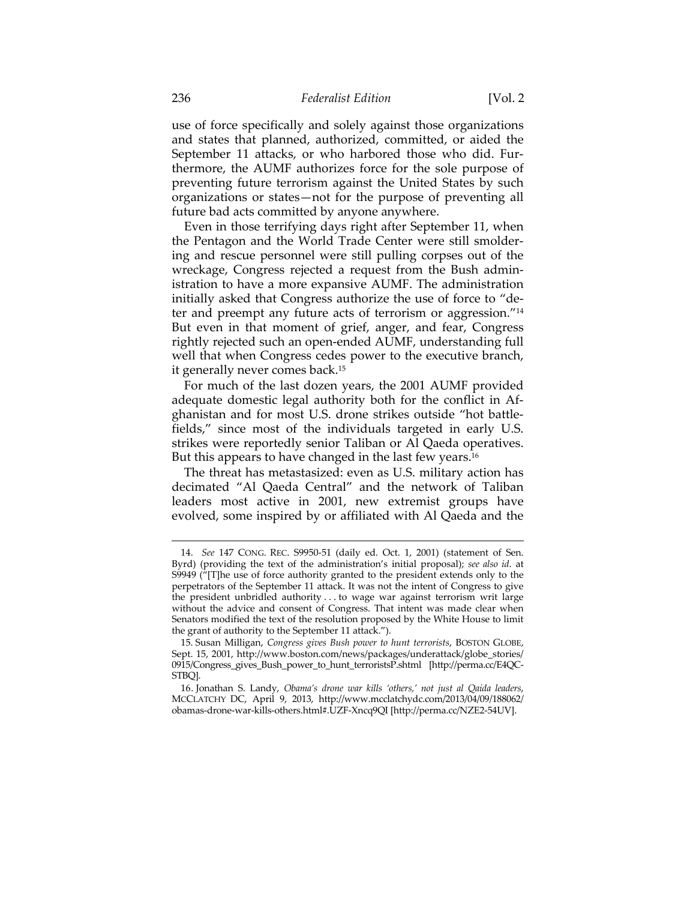use of force specifically and solely against those organizations and states that planned, authorized, committed, or aided the September 11 attacks, or who harbored those who did. Furthermore, the AUMF authorizes force for the sole purpose of preventing future terrorism against the United States by such organizations or states—not for the purpose of preventing all future bad acts committed by anyone anywhere.

Even in those terrifying days right after September 11, when the Pentagon and the World Trade Center were still smoldering and rescue personnel were still pulling corpses out of the wreckage, Congress rejected a request from the Bush administration to have a more expansive AUMF. The administration initially asked that Congress authorize the use of force to "deter and preempt any future acts of terrorism or aggression."14 But even in that moment of grief, anger, and fear, Congress rightly rejected such an open-ended AUMF, understanding full well that when Congress cedes power to the executive branch, it generally never comes back.15

For much of the last dozen years, the 2001 AUMF provided adequate domestic legal authority both for the conflict in Afghanistan and for most U.S. drone strikes outside "hot battlefields," since most of the individuals targeted in early U.S. strikes were reportedly senior Taliban or Al Qaeda operatives. But this appears to have changed in the last few years.<sup>16</sup>

The threat has metastasized: even as U.S. military action has decimated "Al Qaeda Central" and the network of Taliban leaders most active in 2001, new extremist groups have evolved, some inspired by or affiliated with Al Qaeda and the

 <sup>14.</sup> *See* 147 CONG. REC. S9950-51 (daily ed. Oct. 1, 2001) (statement of Sen. Byrd) (providing the text of the administration's initial proposal); *see also id*. at S9949 ("[T]he use of force authority granted to the president extends only to the perpetrators of the September 11 attack. It was not the intent of Congress to give the president unbridled authority . . . to wage war against terrorism writ large without the advice and consent of Congress. That intent was made clear when Senators modified the text of the resolution proposed by the White House to limit the grant of authority to the September 11 attack.").

 <sup>15.</sup> Susan Milligan, *Congress gives Bush power to hunt terrorists*, BOSTON GLOBE, Sept. 15, 2001, http://www.boston.com/news/packages/underattack/globe\_stories/ 0915/Congress\_gives\_Bush\_power\_to\_hunt\_terroristsP.shtml [http://perma.cc/E4QC-STBQ].

 <sup>16.</sup> Jonathan S. Landy, *Obama's drone war kills 'others,' not just al Qaida leaders*, MCCLATCHY DC, April 9, 2013, http://www.mcclatchydc.com/2013/04/09/188062/ obamas-drone-war-kills-others.html#.UZF-Xncq9QI [http://perma.cc/NZE2-54UV].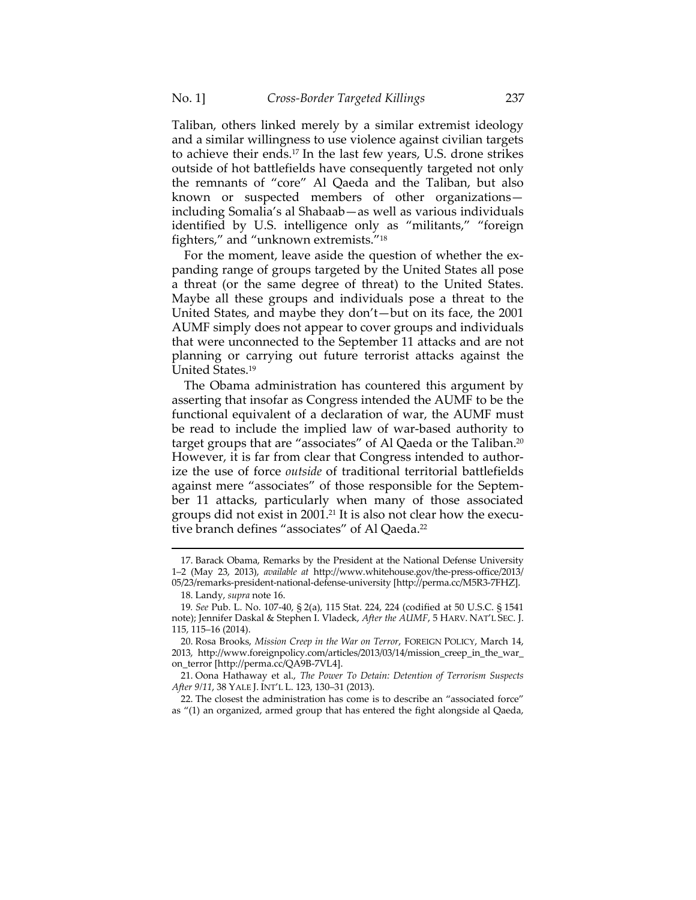Taliban, others linked merely by a similar extremist ideology and a similar willingness to use violence against civilian targets to achieve their ends.17 In the last few years, U.S. drone strikes outside of hot battlefields have consequently targeted not only the remnants of "core" Al Qaeda and the Taliban, but also known or suspected members of other organizations including Somalia's al Shabaab—as well as various individuals identified by U.S. intelligence only as "militants," "foreign fighters," and "unknown extremists."18

For the moment, leave aside the question of whether the expanding range of groups targeted by the United States all pose a threat (or the same degree of threat) to the United States. Maybe all these groups and individuals pose a threat to the United States, and maybe they don't—but on its face, the 2001 AUMF simply does not appear to cover groups and individuals that were unconnected to the September 11 attacks and are not planning or carrying out future terrorist attacks against the United States.19

The Obama administration has countered this argument by asserting that insofar as Congress intended the AUMF to be the functional equivalent of a declaration of war, the AUMF must be read to include the implied law of war-based authority to target groups that are "associates" of Al Qaeda or the Taliban.<sup>20</sup> However, it is far from clear that Congress intended to authorize the use of force *outside* of traditional territorial battlefields against mere "associates" of those responsible for the September 11 attacks, particularly when many of those associated groups did not exist in 2001.21 It is also not clear how the executive branch defines "associates" of Al Qaeda.<sup>22</sup>

<sup>&</sup>lt;u> 1989 - Johann Barn, mars ar breithinn ar chuid ann an t-Alban ann an t-Alban ann an t-Alban ann an t-Alban a</u> 17. Barack Obama, Remarks by the President at the National Defense University 1–2 (May 23, 2013), *available at* http://www.whitehouse.gov/the-press-office/2013/

<sup>05/23/</sup>remarks-president-national-defense-university [http://perma.cc/M5R3-7FHZ]. 18. Landy, *supra* note 16.

<sup>19</sup>*. See* Pub. L. No. 107-40, § 2(a), 115 Stat. 224, 224 (codified at 50 U.S.C. § 1541 note); Jennifer Daskal & Stephen I. Vladeck, *After the AUMF*, 5 HARV. NAT'L SEC. J. 115, 115–16 (2014).

 <sup>20.</sup> Rosa Brooks, *Mission Creep in the War on Terror*, FOREIGN POLICY, March 14, 2013, http://www.foreignpolicy.com/articles/2013/03/14/mission\_creep\_in\_the\_war\_ on\_terror [http://perma.cc/QA9B-7VL4].

 <sup>21.</sup> Oona Hathaway et al., *The Power To Detain: Detention of Terrorism Suspects After 9/11*, 38 YALE J. INT'L L. 123, 130–31 (2013).

 <sup>22.</sup> The closest the administration has come is to describe an "associated force" as "(1) an organized, armed group that has entered the fight alongside al Qaeda,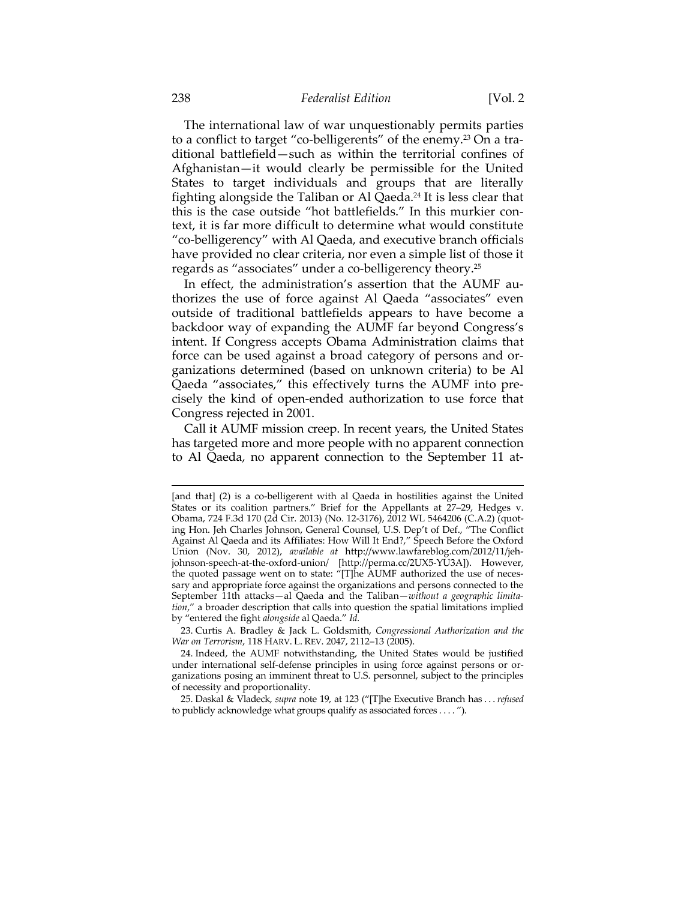The international law of war unquestionably permits parties to a conflict to target "co-belligerents" of the enemy.23 On a traditional battlefield—such as within the territorial confines of Afghanistan—it would clearly be permissible for the United States to target individuals and groups that are literally fighting alongside the Taliban or Al Qaeda.24 It is less clear that this is the case outside "hot battlefields." In this murkier context, it is far more difficult to determine what would constitute "co-belligerency" with Al Qaeda, and executive branch officials have provided no clear criteria, nor even a simple list of those it regards as "associates" under a co-belligerency theory.25

In effect, the administration's assertion that the AUMF authorizes the use of force against Al Qaeda "associates" even outside of traditional battlefields appears to have become a backdoor way of expanding the AUMF far beyond Congress's intent. If Congress accepts Obama Administration claims that force can be used against a broad category of persons and organizations determined (based on unknown criteria) to be Al Qaeda "associates," this effectively turns the AUMF into precisely the kind of open-ended authorization to use force that Congress rejected in 2001.

Call it AUMF mission creep. In recent years, the United States has targeted more and more people with no apparent connection to Al Qaeda, no apparent connection to the September 11 at-

<u> 1989 - Johann Barn, mars ar breithinn ar chuid ann an t-Alban ann an t-Alban ann an t-Alban ann an t-Alban a</u>

 23. Curtis A. Bradley & Jack L. Goldsmith, *Congressional Authorization and the War on Terrorism*, 118 HARV. L. REV. 2047, 2112–13 (2005).

<sup>[</sup>and that] (2) is a co-belligerent with al Qaeda in hostilities against the United States or its coalition partners." Brief for the Appellants at 27–29, Hedges v. Obama, 724 F.3d 170 (2d Cir. 2013) (No. 12-3176), 2012 WL 5464206 (C.A.2) (quoting Hon. Jeh Charles Johnson, General Counsel, U.S. Dep't of Def., "The Conflict Against Al Qaeda and its Affiliates: How Will It End?," Speech Before the Oxford Union (Nov. 30, 2012), *available at* http://www.lawfareblog.com/2012/11/jehjohnson-speech-at-the-oxford-union/ [http://perma.cc/2UX5-YU3A]). However, the quoted passage went on to state: "[T]he AUMF authorized the use of necessary and appropriate force against the organizations and persons connected to the September 11th attacks—al Qaeda and the Taliban—*without a geographic limitation*," a broader description that calls into question the spatial limitations implied by "entered the fight *alongside* al Qaeda." *Id.* 

 <sup>24.</sup> Indeed, the AUMF notwithstanding, the United States would be justified under international self-defense principles in using force against persons or organizations posing an imminent threat to U.S. personnel, subject to the principles of necessity and proportionality.

 <sup>25.</sup> Daskal & Vladeck, *supra* note 19, at 123 ("[T]he Executive Branch has . . . *refused* to publicly acknowledge what groups qualify as associated forces . . . . ").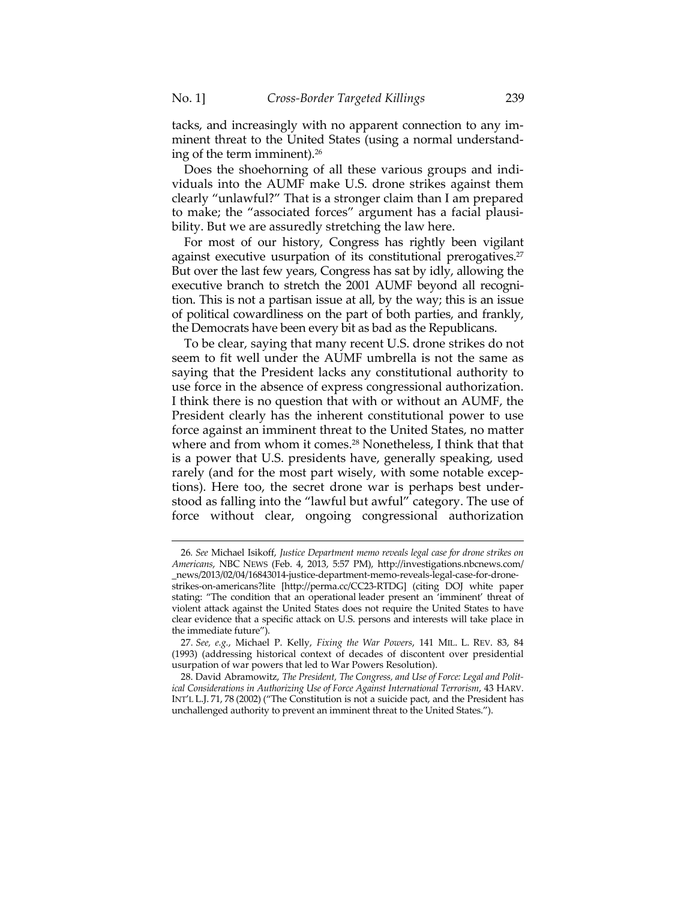tacks, and increasingly with no apparent connection to any imminent threat to the United States (using a normal understanding of the term imminent).26

Does the shoehorning of all these various groups and individuals into the AUMF make U.S. drone strikes against them clearly "unlawful?" That is a stronger claim than I am prepared to make; the "associated forces" argument has a facial plausibility. But we are assuredly stretching the law here.

For most of our history, Congress has rightly been vigilant against executive usurpation of its constitutional prerogatives.<sup>27</sup> But over the last few years, Congress has sat by idly, allowing the executive branch to stretch the 2001 AUMF beyond all recognition. This is not a partisan issue at all, by the way; this is an issue of political cowardliness on the part of both parties, and frankly, the Democrats have been every bit as bad as the Republicans.

To be clear, saying that many recent U.S. drone strikes do not seem to fit well under the AUMF umbrella is not the same as saying that the President lacks any constitutional authority to use force in the absence of express congressional authorization. I think there is no question that with or without an AUMF, the President clearly has the inherent constitutional power to use force against an imminent threat to the United States, no matter where and from whom it comes.<sup>28</sup> Nonetheless, I think that that is a power that U.S. presidents have, generally speaking, used rarely (and for the most part wisely, with some notable exceptions). Here too, the secret drone war is perhaps best understood as falling into the "lawful but awful" category. The use of force without clear, ongoing congressional authorization

<sup>26</sup>*. See* Michael Isikoff, *Justice Department memo reveals legal case for drone strikes on Americans*, NBC NEWS (Feb. 4, 2013, 5:57 PM), http://investigations.nbcnews.com/ \_news/2013/02/04/16843014-justice-department-memo-reveals-legal-case-for-drone-

strikes-on-americans?lite [http://perma.cc/CC23-RTDG] (citing DOJ white paper stating: "The condition that an operational leader present an 'imminent' threat of violent attack against the United States does not require the United States to have clear evidence that a specific attack on U.S. persons and interests will take place in the immediate future").

<sup>27</sup>*. See, e.g.*, Michael P. Kelly, *Fixing the War Powers*, 141 MIL. L. REV. 83, 84 (1993) (addressing historical context of decades of discontent over presidential usurpation of war powers that led to War Powers Resolution).

 <sup>28.</sup> David Abramowitz, *The President, The Congress, and Use of Force: Legal and Political Considerations in Authorizing Use of Force Against International Terrorism*, 43 HARV. INT'L L.J. 71, 78 (2002) ("The Constitution is not a suicide pact, and the President has unchallenged authority to prevent an imminent threat to the United States.").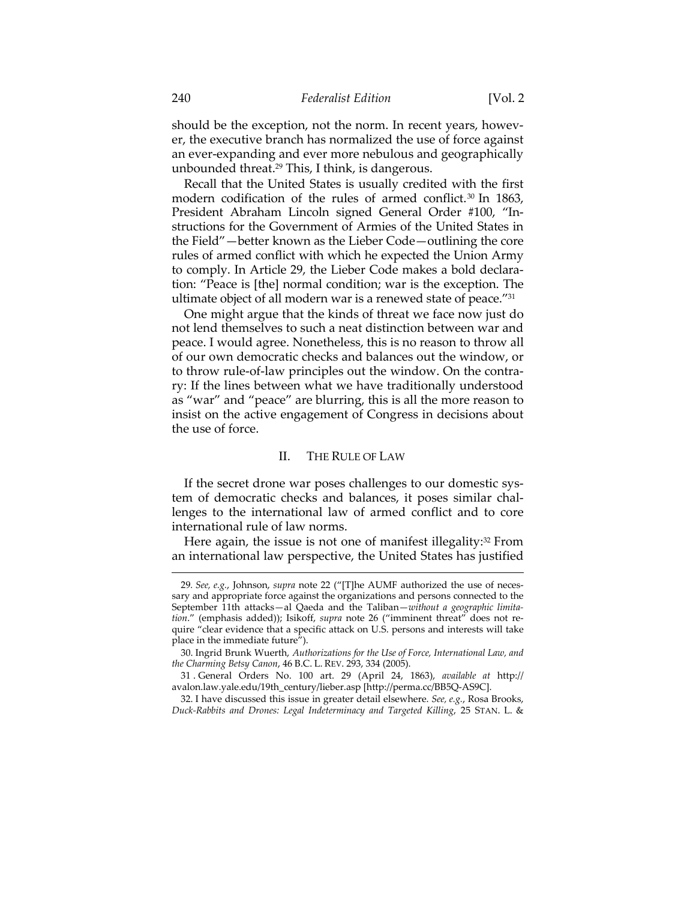should be the exception, not the norm. In recent years, however, the executive branch has normalized the use of force against an ever-expanding and ever more nebulous and geographically unbounded threat.29 This, I think, is dangerous.

Recall that the United States is usually credited with the first modern codification of the rules of armed conflict.<sup>30</sup> In 1863, President Abraham Lincoln signed General Order #100, "Instructions for the Government of Armies of the United States in the Field"—better known as the Lieber Code—outlining the core rules of armed conflict with which he expected the Union Army to comply. In Article 29, the Lieber Code makes a bold declaration: "Peace is [the] normal condition; war is the exception. The ultimate object of all modern war is a renewed state of peace."31

One might argue that the kinds of threat we face now just do not lend themselves to such a neat distinction between war and peace. I would agree. Nonetheless, this is no reason to throw all of our own democratic checks and balances out the window, or to throw rule-of-law principles out the window. On the contrary: If the lines between what we have traditionally understood as "war" and "peace" are blurring, this is all the more reason to insist on the active engagement of Congress in decisions about the use of force.

## II. THE RULE OF LAW

If the secret drone war poses challenges to our domestic system of democratic checks and balances, it poses similar challenges to the international law of armed conflict and to core international rule of law norms.

Here again, the issue is not one of manifest illegality:<sup>32</sup> From an international law perspective, the United States has justified

<sup>29</sup>*. See, e.g.*, Johnson, *supra* note 22 ("[T]he AUMF authorized the use of necessary and appropriate force against the organizations and persons connected to the September 11th attacks—al Qaeda and the Taliban—*without a geographic limitation*." (emphasis added)); Isikoff, *supra* note 26 ("imminent threat" does not require "clear evidence that a specific attack on U.S. persons and interests will take place in the immediate future").

 <sup>30.</sup> Ingrid Brunk Wuerth, *Authorizations for the Use of Force, International Law, and the Charming Betsy Canon*, 46 B.C. L. REV. 293, 334 (2005).

 <sup>31 .</sup> General Orders No. 100 art. 29 (April 24, 1863), *available at* http:// avalon.law.yale.edu/19th\_century/lieber.asp [http://perma.cc/BB5Q-AS9C].

 <sup>32.</sup> I have discussed this issue in greater detail elsewhere. *See, e.g.*, Rosa Brooks, *Duck-Rabbits and Drones: Legal Indeterminacy and Targeted Killing*, 25 STAN. L. &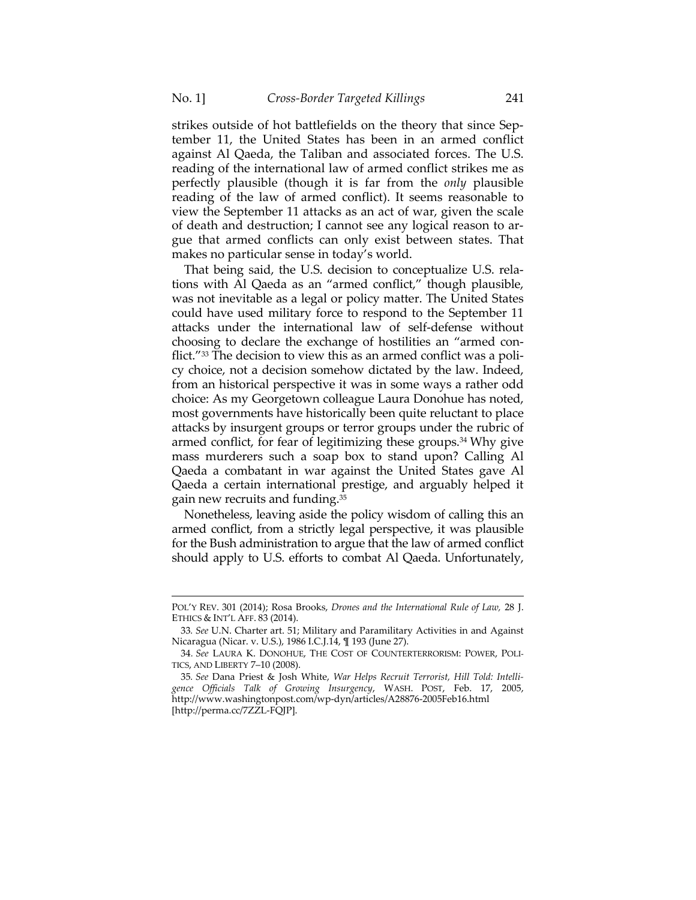strikes outside of hot battlefields on the theory that since September 11, the United States has been in an armed conflict against Al Qaeda, the Taliban and associated forces. The U.S. reading of the international law of armed conflict strikes me as perfectly plausible (though it is far from the *only* plausible reading of the law of armed conflict). It seems reasonable to view the September 11 attacks as an act of war, given the scale of death and destruction; I cannot see any logical reason to argue that armed conflicts can only exist between states. That makes no particular sense in today's world.

That being said, the U.S. decision to conceptualize U.S. relations with Al Qaeda as an "armed conflict," though plausible, was not inevitable as a legal or policy matter. The United States could have used military force to respond to the September 11 attacks under the international law of self-defense without choosing to declare the exchange of hostilities an "armed conflict."<sup>33</sup> The decision to view this as an armed conflict was a policy choice, not a decision somehow dictated by the law. Indeed, from an historical perspective it was in some ways a rather odd choice: As my Georgetown colleague Laura Donohue has noted, most governments have historically been quite reluctant to place attacks by insurgent groups or terror groups under the rubric of armed conflict, for fear of legitimizing these groups.<sup>34</sup> Why give mass murderers such a soap box to stand upon? Calling Al Qaeda a combatant in war against the United States gave Al Qaeda a certain international prestige, and arguably helped it gain new recruits and funding.35

Nonetheless, leaving aside the policy wisdom of calling this an armed conflict, from a strictly legal perspective, it was plausible for the Bush administration to argue that the law of armed conflict should apply to U.S. efforts to combat Al Qaeda. Unfortunately,

<sup>&</sup>lt;u> 1989 - Johann Barn, mars ar breithinn ar chuid ann an t-Alban ann an t-Alban ann an t-Alban ann an t-Alban a</u> POL'Y REV. 301 (2014); Rosa Brooks, *Drones and the International Rule of Law,* 28 J. ETHICS & INT'L AFF. 83 (2014).

<sup>33</sup>*. See* U.N. Charter art. 51; Military and Paramilitary Activities in and Against Nicaragua (Nicar. v. U.S.), 1986 I.C.J.14, ¶ 193 (June 27).

<sup>34</sup>*. See* LAURA K. DONOHUE, THE COST OF COUNTERTERRORISM: POWER, POLI-TICS, AND LIBERTY 7–10 (2008).

<sup>35</sup>*. See* Dana Priest & Josh White, *War Helps Recruit Terrorist, Hill Told: Intelligence Officials Talk of Growing Insurgency*, WASH. POST, Feb. 17, 2005, http://www.washingtonpost.com/wp-dyn/articles/A28876-2005Feb16.html [http://perma.cc/7ZZL-FQJP].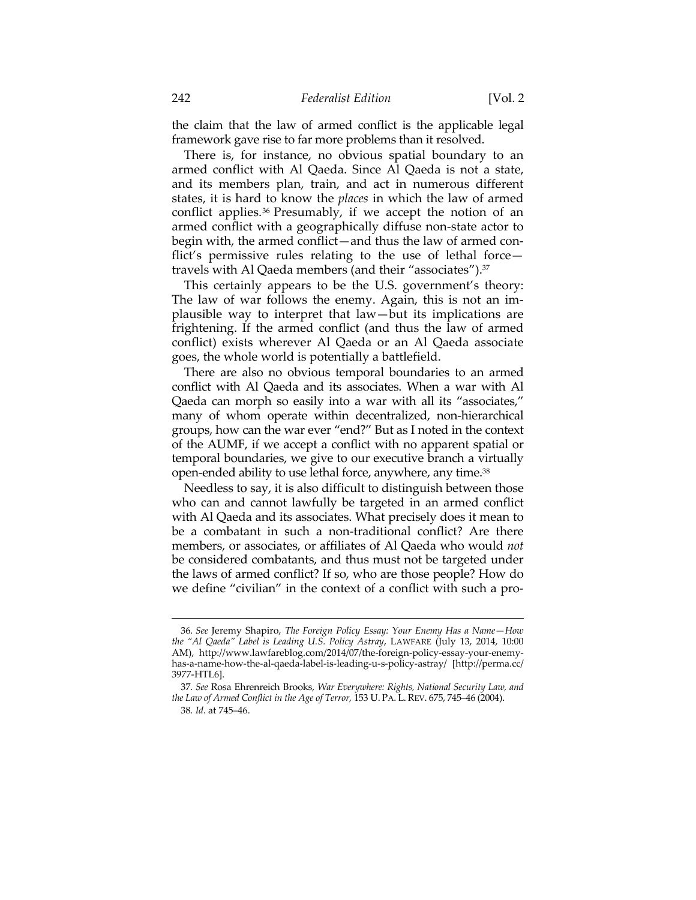the claim that the law of armed conflict is the applicable legal framework gave rise to far more problems than it resolved.

There is, for instance, no obvious spatial boundary to an armed conflict with Al Qaeda. Since Al Qaeda is not a state, and its members plan, train, and act in numerous different states, it is hard to know the *places* in which the law of armed conflict applies.36 Presumably, if we accept the notion of an armed conflict with a geographically diffuse non-state actor to begin with, the armed conflict—and thus the law of armed conflict's permissive rules relating to the use of lethal force travels with Al Qaeda members (and their "associates").<sup>37</sup>

This certainly appears to be the U.S. government's theory: The law of war follows the enemy. Again, this is not an implausible way to interpret that law—but its implications are frightening. If the armed conflict (and thus the law of armed conflict) exists wherever Al Qaeda or an Al Qaeda associate goes, the whole world is potentially a battlefield.

There are also no obvious temporal boundaries to an armed conflict with Al Qaeda and its associates. When a war with Al Qaeda can morph so easily into a war with all its "associates," many of whom operate within decentralized, non-hierarchical groups, how can the war ever "end?" But as I noted in the context of the AUMF, if we accept a conflict with no apparent spatial or temporal boundaries, we give to our executive branch a virtually open-ended ability to use lethal force, anywhere, any time.38

Needless to say, it is also difficult to distinguish between those who can and cannot lawfully be targeted in an armed conflict with Al Qaeda and its associates. What precisely does it mean to be a combatant in such a non-traditional conflict? Are there members, or associates, or affiliates of Al Qaeda who would *not* be considered combatants, and thus must not be targeted under the laws of armed conflict? If so, who are those people? How do we define "civilian" in the context of a conflict with such a pro-

<sup>36</sup>*. See* Jeremy Shapiro, *The Foreign Policy Essay: Your Enemy Has a Name—How the "Al Qaeda" Label is Leading U.S. Policy Astray*, LAWFARE (July 13, 2014, 10:00 AM), http://www.lawfareblog.com/2014/07/the-foreign-policy-essay-your-enemyhas-a-name-how-the-al-qaeda-label-is-leading-u-s-policy-astray/ [http://perma.cc/ 3977-HTL6].

<sup>37</sup>*. See* Rosa Ehrenreich Brooks, *War Everywhere: Rights, National Security Law, and the Law of Armed Conflict in the Age of Terror,* 153 U. PA. L. REV. 675, 745–46 (2004). 38*. Id.* at 745–46.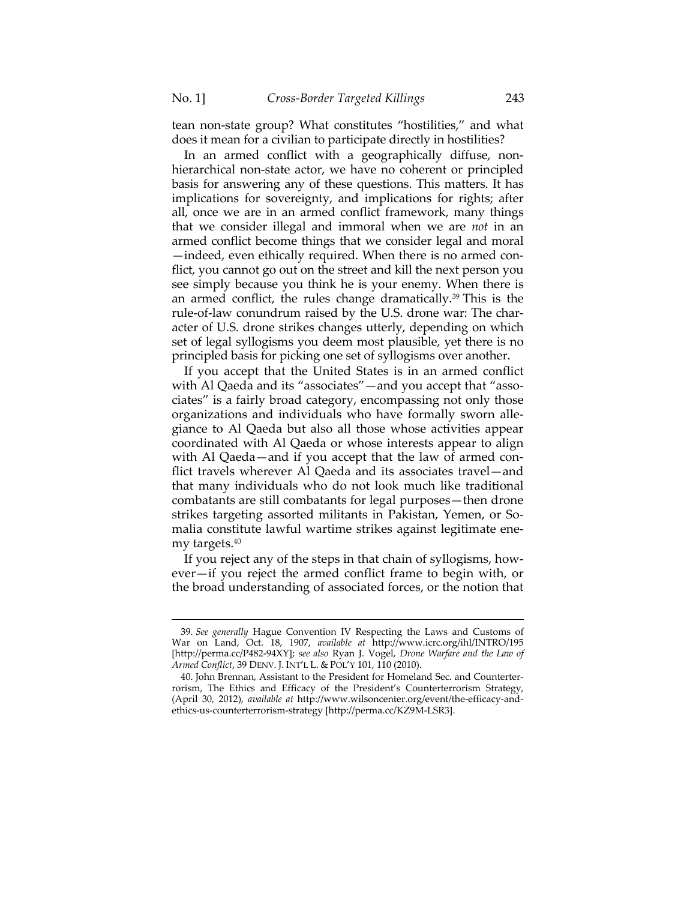tean non-state group? What constitutes "hostilities," and what does it mean for a civilian to participate directly in hostilities?

In an armed conflict with a geographically diffuse, nonhierarchical non-state actor, we have no coherent or principled basis for answering any of these questions. This matters. It has implications for sovereignty, and implications for rights; after all, once we are in an armed conflict framework, many things that we consider illegal and immoral when we are *not* in an armed conflict become things that we consider legal and moral —indeed, even ethically required. When there is no armed conflict, you cannot go out on the street and kill the next person you see simply because you think he is your enemy. When there is an armed conflict, the rules change dramatically.<sup>39</sup> This is the rule-of-law conundrum raised by the U.S. drone war: The character of U.S. drone strikes changes utterly, depending on which set of legal syllogisms you deem most plausible, yet there is no principled basis for picking one set of syllogisms over another.

If you accept that the United States is in an armed conflict with Al Qaeda and its "associates"—and you accept that "associates" is a fairly broad category, encompassing not only those organizations and individuals who have formally sworn allegiance to Al Qaeda but also all those whose activities appear coordinated with Al Qaeda or whose interests appear to align with Al Qaeda—and if you accept that the law of armed conflict travels wherever Al Qaeda and its associates travel—and that many individuals who do not look much like traditional combatants are still combatants for legal purposes—then drone strikes targeting assorted militants in Pakistan, Yemen, or Somalia constitute lawful wartime strikes against legitimate enemy targets.40

If you reject any of the steps in that chain of syllogisms, however—if you reject the armed conflict frame to begin with, or the broad understanding of associated forces, or the notion that

<sup>39</sup>*. See generally* Hague Convention IV Respecting the Laws and Customs of War on Land, Oct. 18, 1907, *available at* http://www.icrc.org/ihl/INTRO/195 [http://perma.cc/P482-94XY]; *see also* Ryan J. Vogel, *Drone Warfare and the Law of Armed Conflict*, 39 DENV. J. INT'L L. & POL'Y 101, 110 (2010).

 <sup>40.</sup> John Brennan, Assistant to the President for Homeland Sec. and Counterterrorism, The Ethics and Efficacy of the President's Counterterrorism Strategy, (April 30, 2012), *available at* http://www.wilsoncenter.org/event/the-efficacy-andethics-us-counterterrorism-strategy [http://perma.cc/KZ9M-LSR3].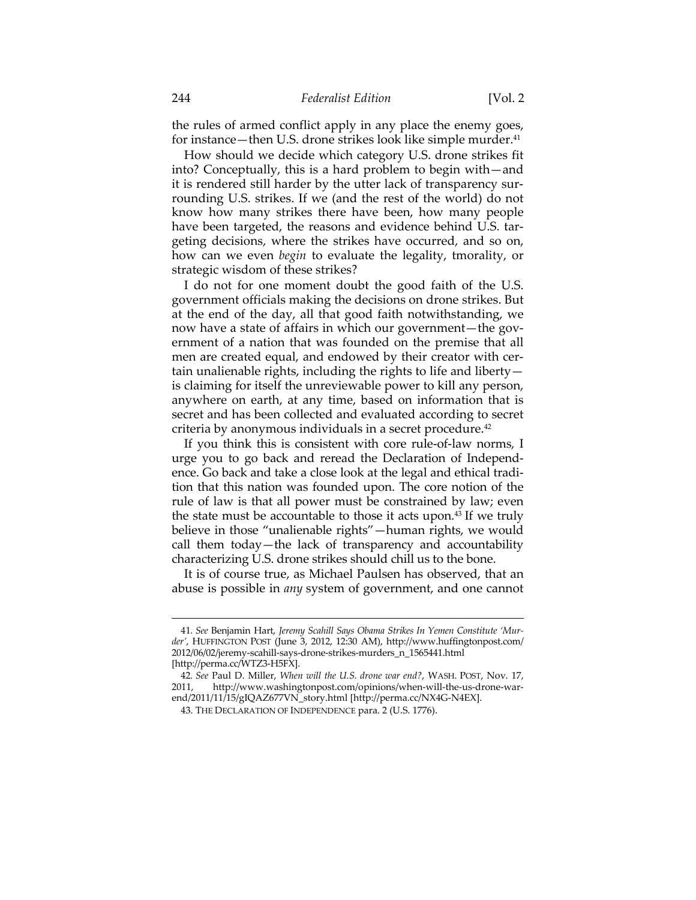the rules of armed conflict apply in any place the enemy goes, for instance—then U.S. drone strikes look like simple murder.<sup>41</sup>

How should we decide which category U.S. drone strikes fit into? Conceptually, this is a hard problem to begin with—and it is rendered still harder by the utter lack of transparency surrounding U.S. strikes. If we (and the rest of the world) do not know how many strikes there have been, how many people have been targeted, the reasons and evidence behind U.S. targeting decisions, where the strikes have occurred, and so on, how can we even *begin* to evaluate the legality, tmorality, or strategic wisdom of these strikes?

I do not for one moment doubt the good faith of the U.S. government officials making the decisions on drone strikes. But at the end of the day, all that good faith notwithstanding, we now have a state of affairs in which our government—the government of a nation that was founded on the premise that all men are created equal, and endowed by their creator with certain unalienable rights, including the rights to life and liberty is claiming for itself the unreviewable power to kill any person, anywhere on earth, at any time, based on information that is secret and has been collected and evaluated according to secret criteria by anonymous individuals in a secret procedure.42

If you think this is consistent with core rule-of-law norms, I urge you to go back and reread the Declaration of Independence. Go back and take a close look at the legal and ethical tradition that this nation was founded upon. The core notion of the rule of law is that all power must be constrained by law; even the state must be accountable to those it acts upon.<sup>43</sup> If we truly believe in those "unalienable rights"—human rights, we would call them today—the lack of transparency and accountability characterizing U.S. drone strikes should chill us to the bone.

It is of course true, as Michael Paulsen has observed, that an abuse is possible in *any* system of government, and one cannot

<sup>41</sup>*. See* Benjamin Hart, *Jeremy Scahill Says Obama Strikes In Yemen Constitute 'Murder'*, HUFFINGTON POST (June 3, 2012, 12:30 AM), http://www.huffingtonpost.com/ 2012/06/02/jeremy-scahill-says-drone-strikes-murders\_n\_1565441.html [http://perma.cc/WTZ3-H5FX].

<sup>42</sup>*. See* Paul D. Miller, *When will the U.S. drone war end?*, WASH. POST, Nov. 17, http://www.washingtonpost.com/opinions/when-will-the-us-drone-warend/2011/11/15/gIQAZ677VN\_story.html [http://perma.cc/NX4G-N4EX].

 <sup>43.</sup> THE DECLARATION OF INDEPENDENCE para. 2 (U.S. 1776).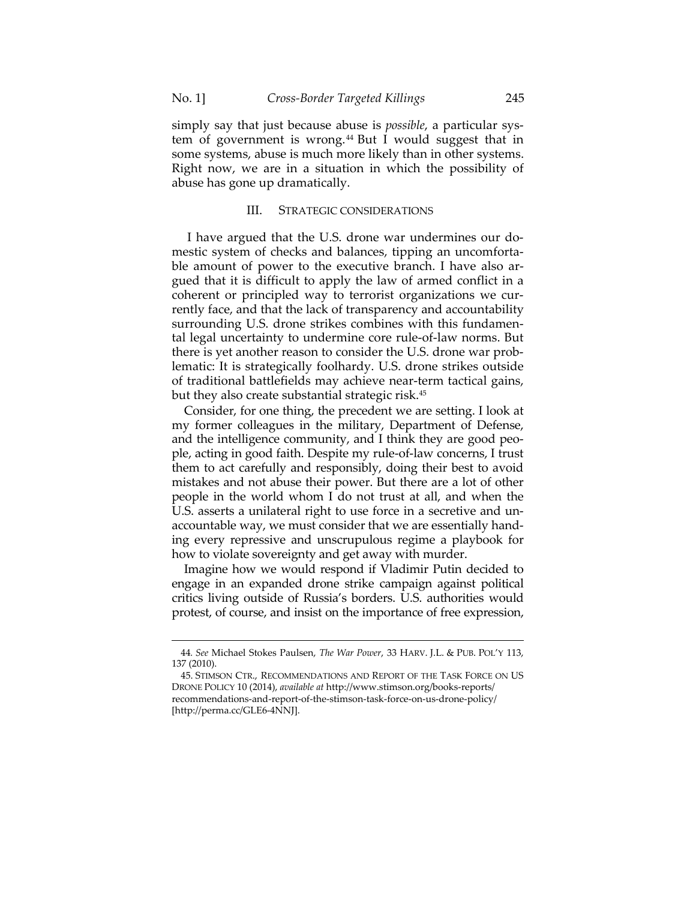simply say that just because abuse is *possible*, a particular system of government is wrong.<sup>44</sup> But I would suggest that in some systems, abuse is much more likely than in other systems. Right now, we are in a situation in which the possibility of abuse has gone up dramatically.

### III. STRATEGIC CONSIDERATIONS

 I have argued that the U.S. drone war undermines our domestic system of checks and balances, tipping an uncomfortable amount of power to the executive branch. I have also argued that it is difficult to apply the law of armed conflict in a coherent or principled way to terrorist organizations we currently face, and that the lack of transparency and accountability surrounding U.S. drone strikes combines with this fundamental legal uncertainty to undermine core rule-of-law norms. But there is yet another reason to consider the U.S. drone war problematic: It is strategically foolhardy. U.S. drone strikes outside of traditional battlefields may achieve near-term tactical gains, but they also create substantial strategic risk.45

Consider, for one thing, the precedent we are setting. I look at my former colleagues in the military, Department of Defense, and the intelligence community, and I think they are good people, acting in good faith. Despite my rule-of-law concerns, I trust them to act carefully and responsibly, doing their best to avoid mistakes and not abuse their power. But there are a lot of other people in the world whom I do not trust at all, and when the U.S. asserts a unilateral right to use force in a secretive and unaccountable way, we must consider that we are essentially handing every repressive and unscrupulous regime a playbook for how to violate sovereignty and get away with murder.

Imagine how we would respond if Vladimir Putin decided to engage in an expanded drone strike campaign against political critics living outside of Russia's borders. U.S. authorities would protest, of course, and insist on the importance of free expression,

<sup>&</sup>lt;u> 1989 - Johann Barn, mars ar breithinn ar chuid ann an t-Alban ann an t-Alban ann an t-Alban ann an t-Alban a</u> 44*. See* Michael Stokes Paulsen, *The War Power*, 33 HARV. J.L. & PUB. POL'Y 113, 137 (2010).

 <sup>45.</sup> STIMSON CTR., RECOMMENDATIONS AND REPORT OF THE TASK FORCE ON US DRONE POLICY 10 (2014), *available at* http://www.stimson.org/books-reports/ recommendations-and-report-of-the-stimson-task-force-on-us-drone-policy/ [http://perma.cc/GLE6-4NNJ].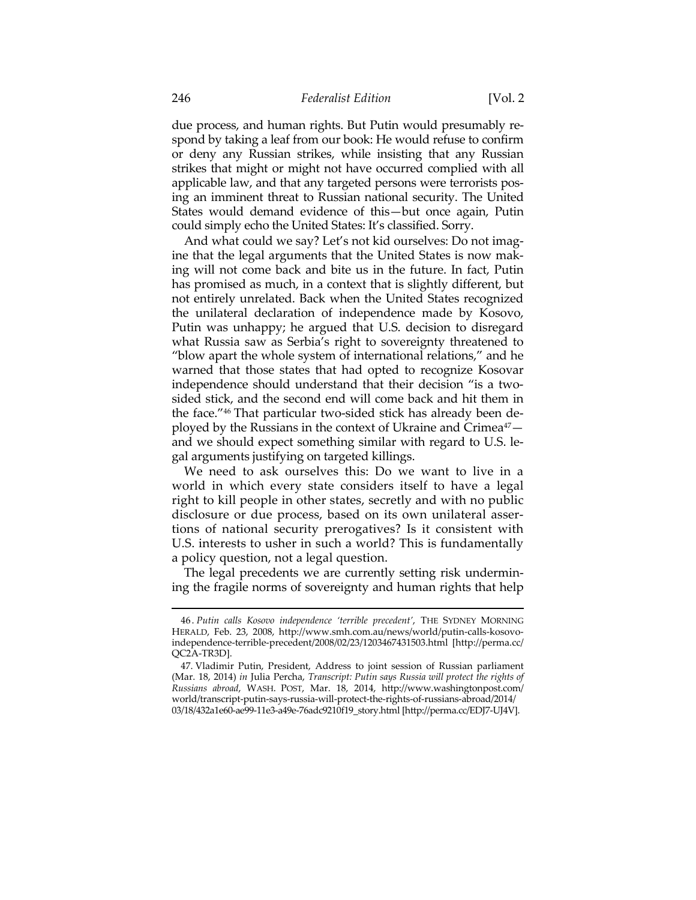due process, and human rights. But Putin would presumably respond by taking a leaf from our book: He would refuse to confirm or deny any Russian strikes, while insisting that any Russian strikes that might or might not have occurred complied with all applicable law, and that any targeted persons were terrorists posing an imminent threat to Russian national security. The United States would demand evidence of this—but once again, Putin could simply echo the United States: It's classified. Sorry.

And what could we say? Let's not kid ourselves: Do not imagine that the legal arguments that the United States is now making will not come back and bite us in the future. In fact, Putin has promised as much, in a context that is slightly different, but not entirely unrelated. Back when the United States recognized the unilateral declaration of independence made by Kosovo, Putin was unhappy; he argued that U.S. decision to disregard what Russia saw as Serbia's right to sovereignty threatened to "blow apart the whole system of international relations," and he warned that those states that had opted to recognize Kosovar independence should understand that their decision "is a twosided stick, and the second end will come back and hit them in the face."46 That particular two-sided stick has already been deployed by the Russians in the context of Ukraine and Crimea<sup>47</sup> and we should expect something similar with regard to U.S. legal arguments justifying on targeted killings.

We need to ask ourselves this: Do we want to live in a world in which every state considers itself to have a legal right to kill people in other states, secretly and with no public disclosure or due process, based on its own unilateral assertions of national security prerogatives? Is it consistent with U.S. interests to usher in such a world? This is fundamentally a policy question, not a legal question.

The legal precedents we are currently setting risk undermining the fragile norms of sovereignty and human rights that help

 <sup>46 .</sup> *Putin calls Kosovo independence 'terrible precedent'*, THE SYDNEY MORNING HERALD, Feb. 23, 2008, http://www.smh.com.au/news/world/putin-calls-kosovoindependence-terrible-precedent/2008/02/23/1203467431503.html [http://perma.cc/ QC2A-TR3D].

 <sup>47.</sup> Vladimir Putin, President, Address to joint session of Russian parliament (Mar. 18, 2014) *in* Julia Percha, *Transcript: Putin says Russia will protect the rights of Russians abroad*, WASH. POST, Mar. 18, 2014, http://www.washingtonpost.com/ world/transcript-putin-says-russia-will-protect-the-rights-of-russians-abroad/2014/ 03/18/432a1e60-ae99-11e3-a49e-76adc9210f19\_story.html [http://perma.cc/EDJ7-UJ4V].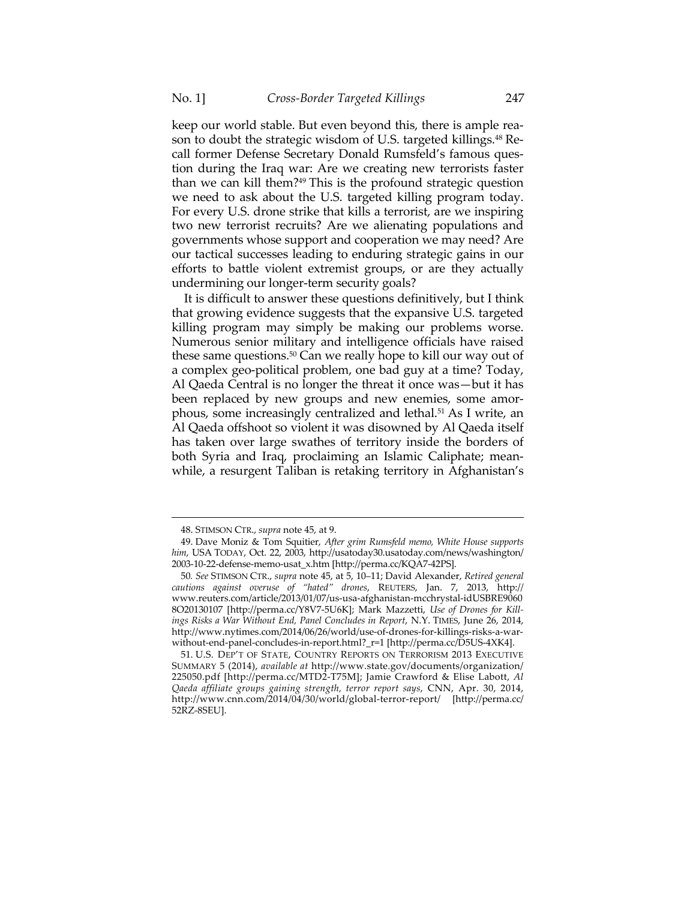keep our world stable. But even beyond this, there is ample reason to doubt the strategic wisdom of U.S. targeted killings.<sup>48</sup> Recall former Defense Secretary Donald Rumsfeld's famous question during the Iraq war: Are we creating new terrorists faster than we can kill them?<sup>49</sup> This is the profound strategic question we need to ask about the U.S. targeted killing program today. For every U.S. drone strike that kills a terrorist, are we inspiring two new terrorist recruits? Are we alienating populations and governments whose support and cooperation we may need? Are our tactical successes leading to enduring strategic gains in our efforts to battle violent extremist groups, or are they actually undermining our longer-term security goals?

It is difficult to answer these questions definitively, but I think that growing evidence suggests that the expansive U.S. targeted killing program may simply be making our problems worse. Numerous senior military and intelligence officials have raised these same questions.50 Can we really hope to kill our way out of a complex geo-political problem, one bad guy at a time? Today, Al Qaeda Central is no longer the threat it once was—but it has been replaced by new groups and new enemies, some amorphous, some increasingly centralized and lethal.51 As I write, an Al Qaeda offshoot so violent it was disowned by Al Qaeda itself has taken over large swathes of territory inside the borders of both Syria and Iraq, proclaiming an Islamic Caliphate; meanwhile, a resurgent Taliban is retaking territory in Afghanistan's

 <sup>48.</sup> STIMSON CTR., *supra* note 45, at 9.

 <sup>49.</sup> Dave Moniz & Tom Squitier, *After grim Rumsfeld memo, White House supports him*, USA TODAY, Oct. 22, 2003, http://usatoday30.usatoday.com/news/washington/ 2003-10-22-defense-memo-usat\_x.htm [http://perma.cc/KQA7-42PS].

<sup>50</sup>*. See* STIMSON CTR., *supra* note 45, at 5, 10–11; David Alexander, *Retired general cautions against overuse of "hated" drones*, REUTERS, Jan. 7, 2013, http:// www.reuters.com/article/2013/01/07/us-usa-afghanistan-mcchrystal-idUSBRE9060 8O20130107 [http://perma.cc/Y8V7-5U6K]; Mark Mazzetti, *Use of Drones for Killings Risks a War Without End, Panel Concludes in Report*, N.Y. TIMES, June 26, 2014, http://www.nytimes.com/2014/06/26/world/use-of-drones-for-killings-risks-a-warwithout-end-panel-concludes-in-report.html?\_r=1 [http://perma.cc/D5US-4XK4].

 <sup>51.</sup> U.S. DEP'T OF STATE, COUNTRY REPORTS ON TERRORISM 2013 EXECUTIVE SUMMARY 5 (2014), *available at* http://www.state.gov/documents/organization/ 225050.pdf [http://perma.cc/MTD2-T75M]; Jamie Crawford & Elise Labott, *Al Qaeda affiliate groups gaining strength, terror report says*, CNN, Apr. 30, 2014, http://www.cnn.com/2014/04/30/world/global-terror-report/ [http://perma.cc/ 52RZ-8SEU].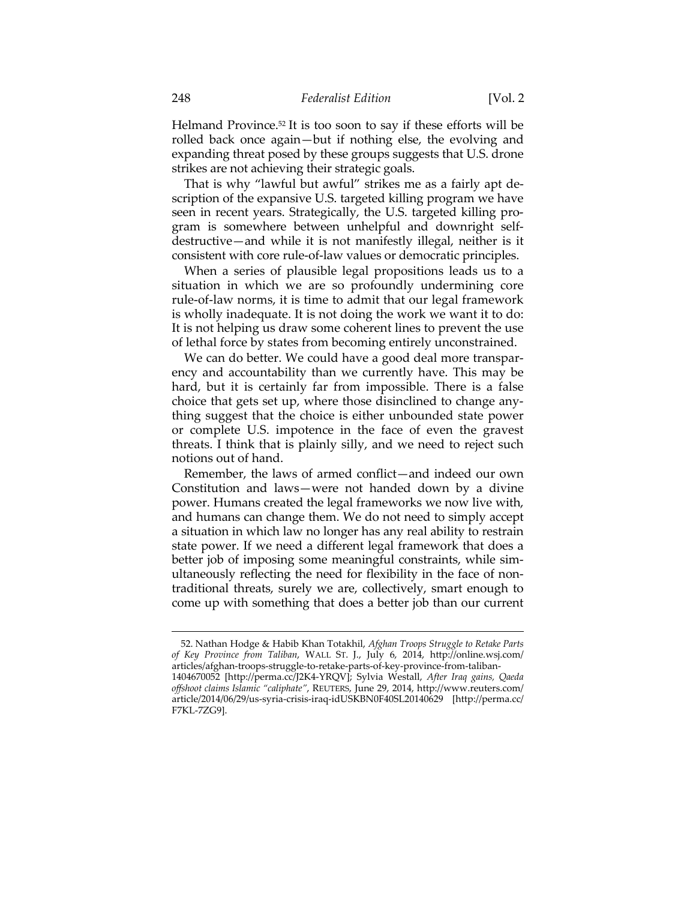Helmand Province.52 It is too soon to say if these efforts will be rolled back once again—but if nothing else, the evolving and expanding threat posed by these groups suggests that U.S. drone strikes are not achieving their strategic goals.

That is why "lawful but awful" strikes me as a fairly apt description of the expansive U.S. targeted killing program we have seen in recent years. Strategically, the U.S. targeted killing program is somewhere between unhelpful and downright selfdestructive—and while it is not manifestly illegal, neither is it consistent with core rule-of-law values or democratic principles.

When a series of plausible legal propositions leads us to a situation in which we are so profoundly undermining core rule-of-law norms, it is time to admit that our legal framework is wholly inadequate. It is not doing the work we want it to do: It is not helping us draw some coherent lines to prevent the use of lethal force by states from becoming entirely unconstrained.

We can do better. We could have a good deal more transparency and accountability than we currently have. This may be hard, but it is certainly far from impossible. There is a false choice that gets set up, where those disinclined to change anything suggest that the choice is either unbounded state power or complete U.S. impotence in the face of even the gravest threats. I think that is plainly silly, and we need to reject such notions out of hand.

Remember, the laws of armed conflict—and indeed our own Constitution and laws—were not handed down by a divine power. Humans created the legal frameworks we now live with, and humans can change them. We do not need to simply accept a situation in which law no longer has any real ability to restrain state power. If we need a different legal framework that does a better job of imposing some meaningful constraints, while simultaneously reflecting the need for flexibility in the face of nontraditional threats, surely we are, collectively, smart enough to come up with something that does a better job than our current

 <sup>52.</sup> Nathan Hodge & Habib Khan Totakhil, *Afghan Troops Struggle to Retake Parts of Key Province from Taliban*, WALL ST. J., July 6, 2014, http://online.wsj.com/ articles/afghan-troops-struggle-to-retake-parts-of-key-province-from-taliban-1404670052 [http://perma.cc/J2K4-YRQV]; Sylvia Westall, *After Iraq gains, Qaeda offshoot claims Islamic "caliphate"*, REUTERS, June 29, 2014, http://www.reuters.com/ article/2014/06/29/us-syria-crisis-iraq-idUSKBN0F40SL20140629 [http://perma.cc/ F7KL-7ZG9].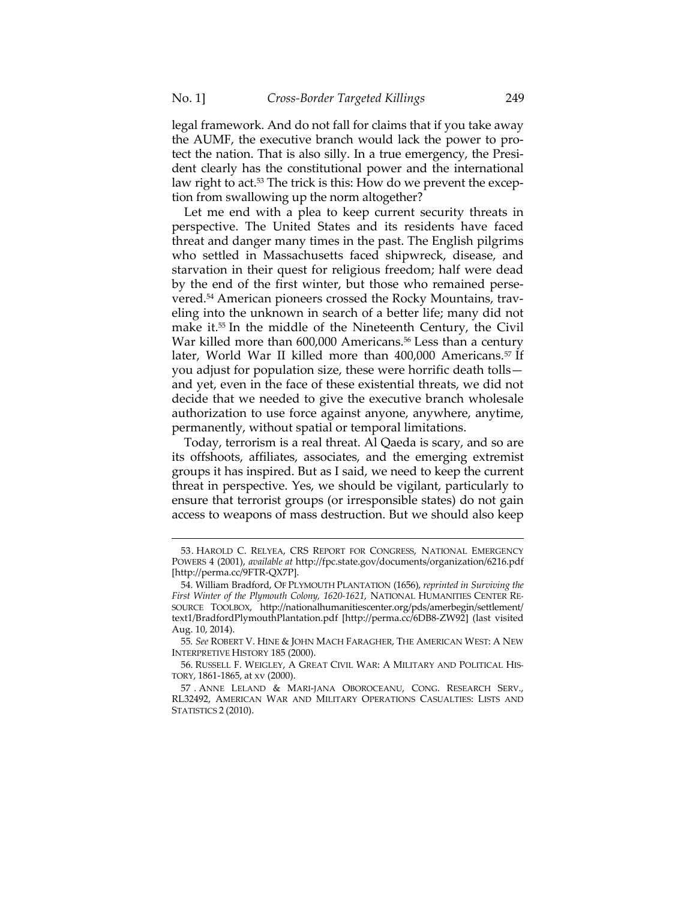legal framework. And do not fall for claims that if you take away the AUMF, the executive branch would lack the power to protect the nation. That is also silly. In a true emergency, the President clearly has the constitutional power and the international law right to act.<sup>53</sup> The trick is this: How do we prevent the exception from swallowing up the norm altogether?

Let me end with a plea to keep current security threats in perspective. The United States and its residents have faced threat and danger many times in the past. The English pilgrims who settled in Massachusetts faced shipwreck, disease, and starvation in their quest for religious freedom; half were dead by the end of the first winter, but those who remained persevered.54 American pioneers crossed the Rocky Mountains, traveling into the unknown in search of a better life; many did not make it.55 In the middle of the Nineteenth Century, the Civil War killed more than 600,000 Americans.<sup>56</sup> Less than a century later, World War II killed more than 400,000 Americans.<sup>57</sup> If you adjust for population size, these were horrific death tolls and yet, even in the face of these existential threats, we did not decide that we needed to give the executive branch wholesale authorization to use force against anyone, anywhere, anytime, permanently, without spatial or temporal limitations.

Today, terrorism is a real threat. Al Qaeda is scary, and so are its offshoots, affiliates, associates, and the emerging extremist groups it has inspired. But as I said, we need to keep the current threat in perspective. Yes, we should be vigilant, particularly to ensure that terrorist groups (or irresponsible states) do not gain access to weapons of mass destruction. But we should also keep

 <sup>53.</sup> HAROLD C. RELYEA, CRS REPORT FOR CONGRESS, NATIONAL EMERGENCY POWERS 4 (2001), *available at* http://fpc.state.gov/documents/organization/6216.pdf [http://perma.cc/9FTR-QX7P].

 <sup>54.</sup> William Bradford, OF PLYMOUTH PLANTATION (1656), *reprinted in Surviving the First Winter of the Plymouth Colony, 1620-1621*, NATIONAL HUMANITIES CENTER RE-SOURCE TOOLBOX, http://nationalhumanitiescenter.org/pds/amerbegin/settlement/ text1/BradfordPlymouthPlantation.pdf [http://perma.cc/6DB8-ZW92] (last visited Aug. 10, 2014).

<sup>55</sup>*. See* ROBERT V. HINE & JOHN MACH FARAGHER, THE AMERICAN WEST: A NEW INTERPRETIVE HISTORY 185 (2000).

 <sup>56.</sup> RUSSELL F. WEIGLEY, A GREAT CIVIL WAR: A MILITARY AND POLITICAL HIS-TORY, 1861-1865, at xv (2000).

 <sup>57 .</sup> ANNE LELAND & MARI-JANA OBOROCEANU, CONG. RESEARCH SERV., RL32492, AMERICAN WAR AND MILITARY OPERATIONS CASUALTIES: LISTS AND STATISTICS 2 (2010).